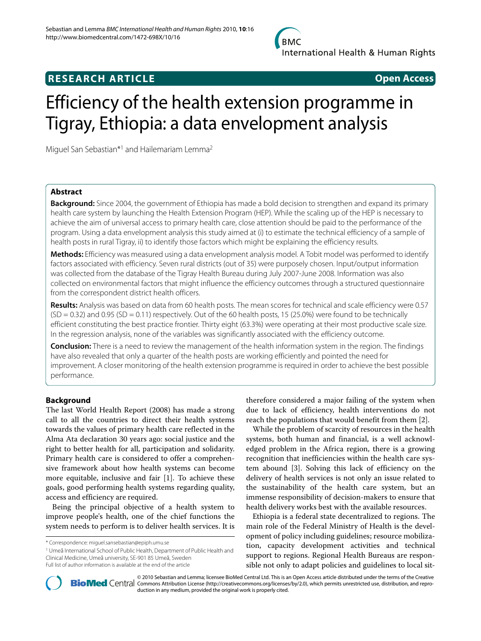

# **RESEARCH ARTICLE Open Access**

# Efficiency of the health extension programme in Tigray, Ethiopia: a data envelopment analysis

Miguel San Sebastian\*1 and Hailemariam Lemma2

# **Abstract**

**Background:** Since 2004, the government of Ethiopia has made a bold decision to strengthen and expand its primary health care system by launching the Health Extension Program (HEP). While the scaling up of the HEP is necessary to achieve the aim of universal access to primary health care, close attention should be paid to the performance of the program. Using a data envelopment analysis this study aimed at (i) to estimate the technical efficiency of a sample of health posts in rural Tigray, ii) to identify those factors which might be explaining the efficiency results.

**Methods:** Efficiency was measured using a data envelopment analysis model. A Tobit model was performed to identify factors associated with efficiency. Seven rural districts (out of 35) were purposely chosen. Input/output information was collected from the database of the Tigray Health Bureau during July 2007-June 2008. Information was also collected on environmental factors that might influence the efficiency outcomes through a structured questionnaire from the correspondent district health officers.

**Results:** Analysis was based on data from 60 health posts. The mean scores for technical and scale efficiency were 0.57  $(SD = 0.32)$  and 0.95 (SD = 0.11) respectively. Out of the 60 health posts, 15 (25.0%) were found to be technically efficient constituting the best practice frontier. Thirty eight (63.3%) were operating at their most productive scale size. In the regression analysis, none of the variables was significantly associated with the efficiency outcome.

**Conclusion:** There is a need to review the management of the health information system in the region. The findings have also revealed that only a quarter of the health posts are working efficiently and pointed the need for improvement. A closer monitoring of the health extension programme is required in order to achieve the best possible performance.

# **Background**

The last World Health Report (2008) has made a strong call to all the countries to direct their health systems towards the values of primary health care reflected in the Alma Ata declaration 30 years ago: social justice and the right to better health for all, participation and solidarity. Primary health care is considered to offer a comprehensive framework about how health systems can become more equitable, inclusive and fair [[1\]](#page-6-0). To achieve these goals, good performing health systems regarding quality, access and efficiency are required.

Being the principal objective of a health system to improve people's health, one of the chief functions the system needs to perform is to deliver health services. It is

1 Umeå International School of Public Health, Department of Public Health and Clinical Medicine, Umeå university, SE-901 85 Umeå, Sweden

therefore considered a major failing of the system when due to lack of efficiency, health interventions do not reach the populations that would benefit from them [[2](#page-6-1)].

While the problem of scarcity of resources in the health systems, both human and financial, is a well acknowledged problem in the Africa region, there is a growing recognition that inefficiencies within the health care system abound [[3\]](#page-6-2). Solving this lack of efficiency on the delivery of health services is not only an issue related to the sustainability of the health care system, but an immense responsibility of decision-makers to ensure that health delivery works best with the available resources.

Ethiopia is a federal state decentralized to regions. The main role of the Federal Ministry of Health is the development of policy including guidelines; resource mobilization, capacity development activities and technical support to regions. Regional Health Bureaus are responsible not only to adapt policies and guidelines to local sit-



© 2010 Sebastian and Lemma; licensee [BioMed](http://www.biomedcentral.com/) Central Ltd. This is an Open Access article distributed under the terms of the Creative<br>-Bio Med Central Commons Attribution License (http://creativecommons.org/licenses/by/2.0), duction in any medium, provided the original work is properly cited.

<sup>\*</sup> Correspondence: miguel.sansebastian@epiph.umu.se

Full list of author information is available at the end of the article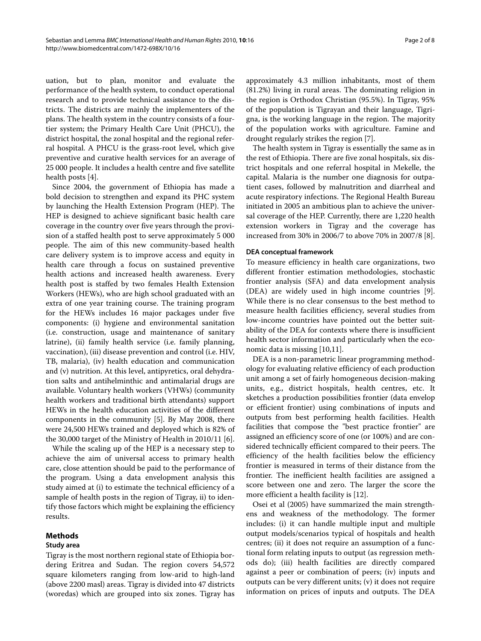uation, but to plan, monitor and evaluate the performance of the health system, to conduct operational research and to provide technical assistance to the districts. The districts are mainly the implementers of the plans. The health system in the country consists of a fourtier system; the Primary Health Care Unit (PHCU), the district hospital, the zonal hospital and the regional referral hospital. A PHCU is the grass-root level, which give preventive and curative health services for an average of 25 000 people. It includes a health centre and five satellite health posts [[4\]](#page-6-3).

Since 2004, the government of Ethiopia has made a bold decision to strengthen and expand its PHC system by launching the Health Extension Program (HEP). The HEP is designed to achieve significant basic health care coverage in the country over five years through the provision of a staffed health post to serve approximately 5 000 people. The aim of this new community-based health care delivery system is to improve access and equity in health care through a focus on sustained preventive health actions and increased health awareness. Every health post is staffed by two females Health Extension Workers (HEWs), who are high school graduated with an extra of one year training course. The training program for the HEWs includes 16 major packages under five components: (i) hygiene and environmental sanitation (i.e. construction, usage and maintenance of sanitary latrine), (ii) family health service (i.e. family planning, vaccination), (iii) disease prevention and control (i.e. HIV, TB, malaria), (iv) health education and communication and (v) nutrition. At this level, antipyretics, oral dehydration salts and antihelminthic and antimalarial drugs are available. Voluntary health workers (VHWs) (community health workers and traditional birth attendants) support HEWs in the health education activities of the different components in the community [[5\]](#page-6-4). By May 2008, there were 24,500 HEWs trained and deployed which is 82% of the 30,000 target of the Ministry of Health in 2010/11 [\[6\]](#page-6-5).

While the scaling up of the HEP is a necessary step to achieve the aim of universal access to primary health care, close attention should be paid to the performance of the program. Using a data envelopment analysis this study aimed at (i) to estimate the technical efficiency of a sample of health posts in the region of Tigray, ii) to identify those factors which might be explaining the efficiency results.

#### **Methods**

# **Study area**

Tigray is the most northern regional state of Ethiopia bordering Eritrea and Sudan. The region covers 54,572 square kilometers ranging from low-arid to high-land (above 2200 masl) areas. Tigray is divided into 47 districts (woredas) which are grouped into six zones. Tigray has

approximately 4.3 million inhabitants, most of them (81.2%) living in rural areas. The dominating religion in the region is Orthodox Christian (95.5%). In Tigray, 95% of the population is Tigrayan and their language, Tigrigna, is the working language in the region. The majority of the population works with agriculture. Famine and drought regularly strikes the region [\[7](#page-6-6)].

The health system in Tigray is essentially the same as in the rest of Ethiopia. There are five zonal hospitals, six district hospitals and one referral hospital in Mekelle, the capital. Malaria is the number one diagnosis for outpatient cases, followed by malnutrition and diarrheal and acute respiratory infections. The Regional Health Bureau initiated in 2005 an ambitious plan to achieve the universal coverage of the HEP. Currently, there are 1,220 health extension workers in Tigray and the coverage has increased from 30% in 2006/7 to above 70% in 2007/8 [\[8](#page-6-7)].

#### **DEA conceptual framework**

To measure efficiency in health care organizations, two different frontier estimation methodologies, stochastic frontier analysis (SFA) and data envelopment analysis (DEA) are widely used in high income countries [\[9](#page-6-8)]. While there is no clear consensus to the best method to measure health facilities efficiency, several studies from low-income countries have pointed out the better suitability of the DEA for contexts where there is insufficient health sector information and particularly when the economic data is missing [\[10](#page-6-9)[,11](#page-6-10)].

DEA is a non-parametric linear programming methodology for evaluating relative efficiency of each production unit among a set of fairly homogeneous decision-making units, e.g., district hospitals, health centres, etc. It sketches a production possibilities frontier (data envelop or efficient frontier) using combinations of inputs and outputs from best performing health facilities. Health facilities that compose the "best practice frontier" are assigned an efficiency score of one (or 100%) and are considered technically efficient compared to their peers. The efficiency of the health facilities below the efficiency frontier is measured in terms of their distance from the frontier. The inefficient health facilities are assigned a score between one and zero. The larger the score the more efficient a health facility is [[12](#page-6-11)].

Osei et al (2005) have summarized the main strengthens and weakness of the methodology. The former includes: (i) it can handle multiple input and multiple output models/scenarios typical of hospitals and health centres; (ii) it does not require an assumption of a functional form relating inputs to output (as regression methods do); (iii) health facilities are directly compared against a peer or combination of peers; (iv) inputs and outputs can be very different units; (v) it does not require information on prices of inputs and outputs. The DEA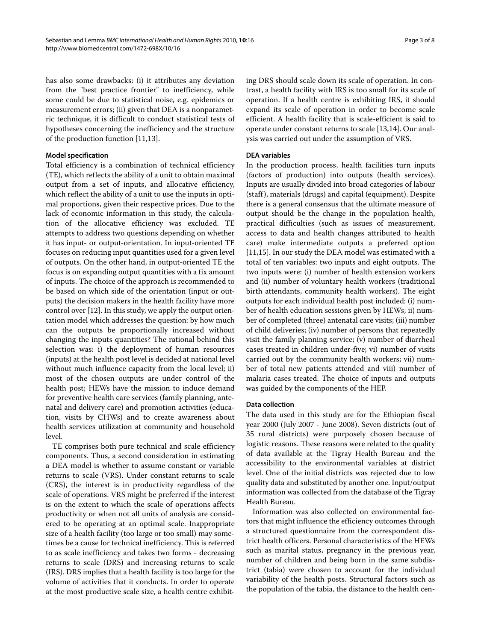has also some drawbacks: (i) it attributes any deviation from the "best practice frontier" to inefficiency, while some could be due to statistical noise, e.g. epidemics or measurement errors; (ii) given that DEA is a nonparametric technique, it is difficult to conduct statistical tests of hypotheses concerning the inefficiency and the structure of the production function [[11,](#page-6-10)[13\]](#page-6-12).

### **Model specification**

Total efficiency is a combination of technical efficiency (TE), which reflects the ability of a unit to obtain maximal output from a set of inputs, and allocative efficiency, which reflect the ability of a unit to use the inputs in optimal proportions, given their respective prices. Due to the lack of economic information in this study, the calculation of the allocative efficiency was excluded. TE attempts to address two questions depending on whether it has input- or output-orientation. In input-oriented TE focuses on reducing input quantities used for a given level of outputs. On the other hand, in output-oriented TE the focus is on expanding output quantities with a fix amount of inputs. The choice of the approach is recommended to be based on which side of the orientation (input or outputs) the decision makers in the health facility have more control over [[12](#page-6-11)]. In this study, we apply the output orientation model which addresses the question: by how much can the outputs be proportionally increased without changing the inputs quantities? The rational behind this selection was: i) the deployment of human resources (inputs) at the health post level is decided at national level without much influence capacity from the local level; ii) most of the chosen outputs are under control of the health post; HEWs have the mission to induce demand for preventive health care services (family planning, antenatal and delivery care) and promotion activities (education, visits by CHWs) and to create awareness about health services utilization at community and household level.

TE comprises both pure technical and scale efficiency components. Thus, a second consideration in estimating a DEA model is whether to assume constant or variable returns to scale (VRS). Under constant returns to scale (CRS), the interest is in productivity regardless of the scale of operations. VRS might be preferred if the interest is on the extent to which the scale of operations affects productivity or when not all units of analysis are considered to be operating at an optimal scale. Inappropriate size of a health facility (too large or too small) may sometimes be a cause for technical inefficiency. This is referred to as scale inefficiency and takes two forms - decreasing returns to scale (DRS) and increasing returns to scale (IRS). DRS implies that a health facility is too large for the volume of activities that it conducts. In order to operate at the most productive scale size, a health centre exhibiting DRS should scale down its scale of operation. In contrast, a health facility with IRS is too small for its scale of operation. If a health centre is exhibiting IRS, it should expand its scale of operation in order to become scale efficient. A health facility that is scale-efficient is said to operate under constant returns to scale [\[13](#page-6-12),[14](#page-7-0)]. Our analysis was carried out under the assumption of VRS.

#### **DEA variables**

In the production process, health facilities turn inputs (factors of production) into outputs (health services). Inputs are usually divided into broad categories of labour (staff), materials (drugs) and capital (equipment). Despite there is a general consensus that the ultimate measure of output should be the change in the population health, practical difficulties (such as issues of measurement, access to data and health changes attributed to health care) make intermediate outputs a preferred option [[11,](#page-6-10)[15\]](#page-7-1). In our study the DEA model was estimated with a total of ten variables: two inputs and eight outputs. The two inputs were: (i) number of health extension workers and (ii) number of voluntary health workers (traditional birth attendants, community health workers). The eight outputs for each individual health post included: (i) number of health education sessions given by HEWs; ii) number of completed (three) antenatal care visits; (iii) number of child deliveries; (iv) number of persons that repeatedly visit the family planning service; (v) number of diarrheal cases treated in children under-five; vi) number of visits carried out by the community health workers; vii) number of total new patients attended and viii) number of malaria cases treated. The choice of inputs and outputs was guided by the components of the HEP.

#### **Data collection**

The data used in this study are for the Ethiopian fiscal year 2000 (July 2007 - June 2008). Seven districts (out of 35 rural districts) were purposely chosen because of logistic reasons. These reasons were related to the quality of data available at the Tigray Health Bureau and the accessibility to the environmental variables at district level. One of the initial districts was rejected due to low quality data and substituted by another one. Input/output information was collected from the database of the Tigray Health Bureau.

Information was also collected on environmental factors that might influence the efficiency outcomes through a structured questionnaire from the correspondent district health officers. Personal characteristics of the HEWs such as marital status, pregnancy in the previous year, number of children and being born in the same subdistrict (tabia) were chosen to account for the individual variability of the health posts. Structural factors such as the population of the tabia, the distance to the health cen-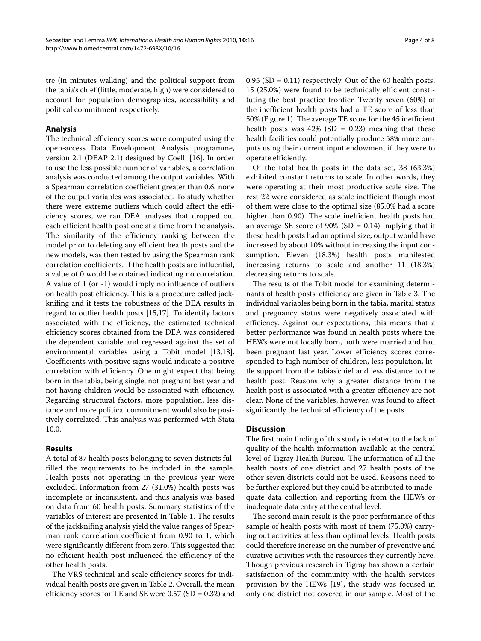tre (in minutes walking) and the political support from the tabia's chief (little, moderate, high) were considered to account for population demographics, accessibility and political commitment respectively.

# **Analysis**

The technical efficiency scores were computed using the open-access Data Envelopment Analysis programme, version 2.1 (DEAP 2.1) designed by Coelli [[16\]](#page-7-2). In order to use the less possible number of variables, a correlation analysis was conducted among the output variables. With a Spearman correlation coefficient greater than 0.6, none of the output variables was associated. To study whether there were extreme outliers which could affect the efficiency scores, we ran DEA analyses that dropped out each efficient health post one at a time from the analysis. The similarity of the efficiency ranking between the model prior to deleting any efficient health posts and the new models, was then tested by using the Spearman rank correlation coefficients. If the health posts are influential, a value of 0 would be obtained indicating no correlation. A value of 1 (or -1) would imply no influence of outliers on health post efficiency. This is a procedure called jackknifing and it tests the robustness of the DEA results in regard to outlier health posts [\[15,](#page-7-1)[17\]](#page-7-3). To identify factors associated with the efficiency, the estimated technical efficiency scores obtained from the DEA was considered the dependent variable and regressed against the set of environmental variables using a Tobit model [\[13](#page-6-12)[,18](#page-7-4)]. Coefficients with positive signs would indicate a positive correlation with efficiency. One might expect that being born in the tabia, being single, not pregnant last year and not having children would be associated with efficiency. Regarding structural factors, more population, less distance and more political commitment would also be positively correlated. This analysis was performed with Stata 10.0.

# **Results**

A total of 87 health posts belonging to seven districts fulfilled the requirements to be included in the sample. Health posts not operating in the previous year were excluded. Information from 27 (31.0%) health posts was incomplete or inconsistent, and thus analysis was based on data from 60 health posts. Summary statistics of the variables of interest are presented in Table [1](#page-4-0). The results of the jackknifing analysis yield the value ranges of Spearman rank correlation coefficient from 0.90 to 1, which were significantly different from zero. This suggested that no efficient health post influenced the efficiency of the other health posts.

The VRS technical and scale efficiency scores for individual health posts are given in Table 2. Overall, the mean efficiency scores for TE and SE were  $0.57$  (SD =  $0.32$ ) and  $0.95$  (SD = 0.11) respectively. Out of the 60 health posts, 15 (25.0%) were found to be technically efficient constituting the best practice frontier. Twenty seven (60%) of the inefficient health posts had a TE score of less than 50% (Figure [1\)](#page-5-0). The average TE score for the 45 inefficient health posts was  $42\%$  (SD = 0.23) meaning that these health facilities could potentially produce 58% more outputs using their current input endowment if they were to operate efficiently.

Of the total health posts in the data set, 38 (63.3%) exhibited constant returns to scale. In other words, they were operating at their most productive scale size. The rest 22 were considered as scale inefficient though most of them were close to the optimal size (85.0% had a score higher than 0.90). The scale inefficient health posts had an average SE score of 90% (SD = 0.14) implying that if these health posts had an optimal size, output would have increased by about 10% without increasing the input consumption. Eleven (18.3%) health posts manifested increasing returns to scale and another 11 (18.3%) decreasing returns to scale.

The results of the Tobit model for examining determinants of health posts' efficiency are given in Table [3](#page-6-13). The individual variables being born in the tabia, marital status and pregnancy status were negatively associated with efficiency. Against our expectations, this means that a better performance was found in health posts where the HEWs were not locally born, both were married and had been pregnant last year. Lower efficiency scores corresponded to high number of children, less population, little support from the tabias'chief and less distance to the health post. Reasons why a greater distance from the health post is associated with a greater efficiency are not clear. None of the variables, however, was found to affect significantly the technical efficiency of the posts.

# **Discussion**

The first main finding of this study is related to the lack of quality of the health information available at the central level of Tigray Health Bureau. The information of all the health posts of one district and 27 health posts of the other seven districts could not be used. Reasons need to be further explored but they could be attributed to inadequate data collection and reporting from the HEWs or inadequate data entry at the central level.

The second main result is the poor performance of this sample of health posts with most of them (75.0%) carrying out activities at less than optimal levels. Health posts could therefore increase on the number of preventive and curative activities with the resources they currently have. Though previous research in Tigray has shown a certain satisfaction of the community with the health services provision by the HEWs [\[19\]](#page-7-5), the study was focused in only one district not covered in our sample. Most of the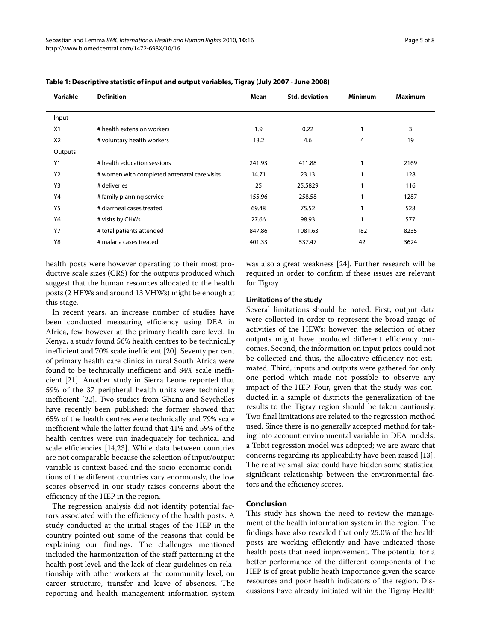| Variable       | <b>Definition</b>                            | Mean   | <b>Std. deviation</b> | <b>Minimum</b> | <b>Maximum</b> |
|----------------|----------------------------------------------|--------|-----------------------|----------------|----------------|
|                |                                              |        |                       |                |                |
| Input          |                                              |        |                       |                |                |
| X1             | # health extension workers                   | 1.9    | 0.22                  |                | 3              |
| X <sub>2</sub> | # voluntary health workers                   | 13.2   | 4.6                   | $\overline{4}$ | 19             |
| Outputs        |                                              |        |                       |                |                |
| Y1             | # health education sessions                  | 241.93 | 411.88                | 1              | 2169           |
| Y2             | # women with completed antenatal care visits | 14.71  | 23.13                 |                | 128            |
| Y3             | # deliveries                                 | 25     | 25.5829               |                | 116            |
| Y4             | # family planning service                    | 155.96 | 258.58                | 1              | 1287           |
| Y5             | # diarrheal cases treated                    | 69.48  | 75.52                 | 1              | 528            |
| Y6             | # visits by CHWs                             | 27.66  | 98.93                 | 1              | 577            |
| <b>Y7</b>      | # total patients attended                    | 847.86 | 1081.63               | 182            | 8235           |
| Y8             | # malaria cases treated                      | 401.33 | 537.47                | 42             | 3624           |

<span id="page-4-0"></span>**Table 1: Descriptive statistic of input and output variables, Tigray (July 2007 - June 2008)**

health posts were however operating to their most productive scale sizes (CRS) for the outputs produced which suggest that the human resources allocated to the health posts (2 HEWs and around 13 VHWs) might be enough at this stage.

In recent years, an increase number of studies have been conducted measuring efficiency using DEA in Africa, few however at the primary health care level. In Kenya, a study found 56% health centres to be technically inefficient and 70% scale inefficient [[20](#page-7-6)]. Seventy per cent of primary health care clinics in rural South Africa were found to be technically inefficient and 84% scale inefficient [[21\]](#page-7-7). Another study in Sierra Leone reported that 59% of the 37 peripheral health units were technically inefficient [[22](#page-7-8)]. Two studies from Ghana and Seychelles have recently been published; the former showed that 65% of the health centres were technically and 79% scale inefficient while the latter found that 41% and 59% of the health centres were run inadequately for technical and scale efficiencies [[14,](#page-7-0)[23\]](#page-7-9). While data between countries are not comparable because the selection of input/output variable is context-based and the socio-economic conditions of the different countries vary enormously, the low scores observed in our study raises concerns about the efficiency of the HEP in the region.

The regression analysis did not identify potential factors associated with the efficiency of the health posts. A study conducted at the initial stages of the HEP in the country pointed out some of the reasons that could be explaining our findings. The challenges mentioned included the harmonization of the staff patterning at the health post level, and the lack of clear guidelines on relationship with other workers at the community level, on career structure, transfer and leave of absences. The reporting and health management information system was also a great weakness [[24\]](#page-7-10). Further research will be required in order to confirm if these issues are relevant for Tigray.

# **Limitations of the study**

Several limitations should be noted. First, output data were collected in order to represent the broad range of activities of the HEWs; however, the selection of other outputs might have produced different efficiency outcomes. Second, the information on input prices could not be collected and thus, the allocative efficiency not estimated. Third, inputs and outputs were gathered for only one period which made not possible to observe any impact of the HEP. Four, given that the study was conducted in a sample of districts the generalization of the results to the Tigray region should be taken cautiously. Two final limitations are related to the regression method used. Since there is no generally accepted method for taking into account environmental variable in DEA models, a Tobit regression model was adopted; we are aware that concerns regarding its applicability have been raised [\[13](#page-6-12)]. The relative small size could have hidden some statistical significant relationship between the environmental factors and the efficiency scores.

# **Conclusion**

This study has shown the need to review the management of the health information system in the region. The findings have also revealed that only 25.0% of the health posts are working efficiently and have indicated those health posts that need improvement. The potential for a better performance of the different components of the HEP is of great public heath importance given the scarce resources and poor health indicators of the region. Discussions have already initiated within the Tigray Health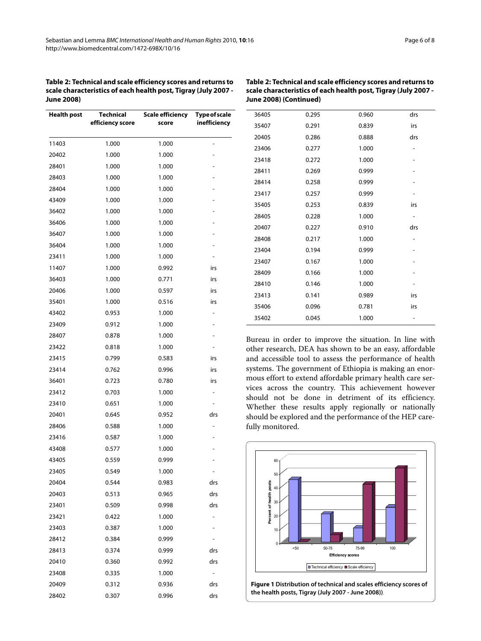**Table 2: Technical and scale efficiency scores and returns to scale characteristics of each health post, Tigray (July 2007 - June 2008)**

| Health post | Technical<br>efficiency score | Scale efficiency<br>score | <b>Type of scale</b><br>inefficiency |  |
|-------------|-------------------------------|---------------------------|--------------------------------------|--|
| 11403       | 1.000                         | 1.000                     |                                      |  |
| 20402       | 1.000                         | 1.000                     |                                      |  |
| 28401       | 1.000                         | 1.000                     |                                      |  |
| 28403       | 1.000                         | 1.000                     |                                      |  |
| 28404       | 1.000                         | 1.000                     |                                      |  |
| 43409       | 1.000                         | 1.000                     |                                      |  |
| 36402       | 1.000                         | 1.000                     |                                      |  |
| 36406       | 1.000                         | 1.000                     |                                      |  |
| 36407       | 1.000                         | 1.000                     |                                      |  |
| 36404       | 1.000                         | 1.000                     |                                      |  |
| 23411       | 1.000                         | 1.000                     |                                      |  |
| 11407       | 1.000                         | 0.992                     | irs                                  |  |
| 36403       | 1.000                         | 0.771                     | irs                                  |  |
| 20406       | 1.000                         | 0.597                     | irs                                  |  |
| 35401       | 1.000                         | 0.516                     | irs                                  |  |
| 43402       | 0.953                         | 1.000                     |                                      |  |
| 23409       | 0.912                         | 1.000                     |                                      |  |
| 28407       | 0.878                         | 1.000                     |                                      |  |
| 23422       | 0.818                         | 1.000                     |                                      |  |
| 23415       | 0.799                         | 0.583                     | irs                                  |  |
| 23414       | 0.762                         | 0.996                     | irs                                  |  |
| 36401       | 0.723                         | 0.780                     | irs                                  |  |
| 23412       | 0.703                         | 1.000                     |                                      |  |
| 23410       | 0.651                         | 1.000                     |                                      |  |
| 20401       | 0.645                         | 0.952                     | drs                                  |  |
| 28406       | 0.588                         | 1.000                     |                                      |  |
| 23416       | 0.587                         | 1.000                     |                                      |  |
| 43408       | 0.577                         | 1.000                     |                                      |  |
| 43405       | 0.559                         | 0.999                     |                                      |  |
| 23405       | 0.549                         | 1.000                     |                                      |  |
| 20404       | 0.544                         | 0.983                     | drs                                  |  |
| 20403       | 0.513                         | 0.965                     | drs                                  |  |
| 23401       | 0.509                         | 0.998                     | drs                                  |  |
| 23421       | 0.422                         | 1.000                     |                                      |  |
| 23403       | 0.387                         | 1.000                     |                                      |  |
| 28412       | 0.384                         | 0.999                     |                                      |  |
| 28413       | 0.374                         | 0.999                     | drs                                  |  |
| 20410       | 0.360                         | 0.992                     | drs                                  |  |
| 23408       | 0.335                         | 1.000                     | ۰                                    |  |
| 20409       | 0.312                         | 0.936                     | drs                                  |  |
| 28402       | 0.307                         | 0.996                     | drs                                  |  |

| Table 2: Technical and scale efficiency scores and returns to  |
|----------------------------------------------------------------|
| scale characteristics of each health post, Tigray (July 2007 - |
| June 2008) (Continued)                                         |

| 36405 | 0.295 | 0.960 | drs |
|-------|-------|-------|-----|
| 35407 | 0.291 | 0.839 | irs |
| 20405 | 0.286 | 0.888 | drs |
| 23406 | 0.277 | 1.000 |     |
| 23418 | 0.272 | 1.000 |     |
| 28411 | 0.269 | 0.999 |     |
| 28414 | 0.258 | 0.999 |     |
| 23417 | 0.257 | 0.999 |     |
| 35405 | 0.253 | 0.839 | irs |
| 28405 | 0.228 | 1.000 |     |
| 20407 | 0.227 | 0.910 | drs |
| 28408 | 0.217 | 1.000 |     |
| 23404 | 0.194 | 0.999 |     |
| 23407 | 0.167 | 1.000 |     |
| 28409 | 0.166 | 1.000 |     |
| 28410 | 0.146 | 1.000 |     |
| 23413 | 0.141 | 0.989 | irs |
| 35406 | 0.096 | 0.781 | irs |
| 35402 | 0.045 | 1.000 |     |

Bureau in order to improve the situation. In line with other research, DEA has shown to be an easy, affordable and accessible tool to assess the performance of health systems. The government of Ethiopia is making an enormous effort to extend affordable primary health care services across the country. This achievement however should not be done in detriment of its efficiency. Whether these results apply regionally or nationally should be explored and the performance of the HEP carefully monitored.

<span id="page-5-0"></span>

**Figure 1 Distribution of technical and scales efficiency scores of the health posts, Tigray (July 2007 - June 2008))**.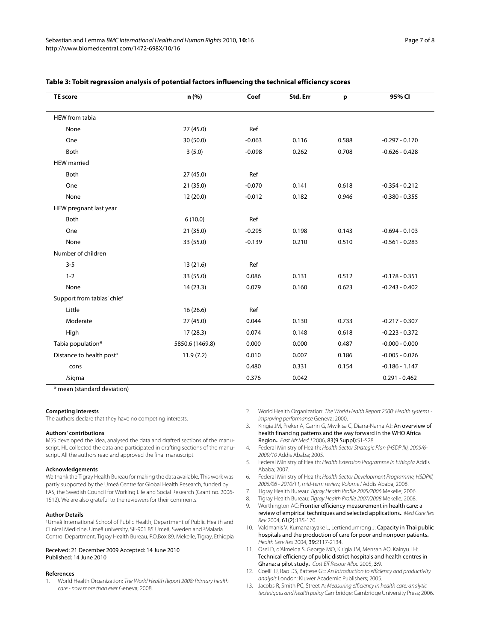| <b>TE</b> score            | n (%)           | Coef     | Std. Err | p     | 95% CI           |
|----------------------------|-----------------|----------|----------|-------|------------------|
| HEW from tabia             |                 |          |          |       |                  |
| None                       | 27 (45.0)       | Ref      |          |       |                  |
| One                        | 30 (50.0)       | $-0.063$ | 0.116    | 0.588 | $-0.297 - 0.170$ |
| Both                       | 3(5.0)          | $-0.098$ | 0.262    | 0.708 | $-0.626 - 0.428$ |
| <b>HEW</b> married         |                 |          |          |       |                  |
| Both                       | 27(45.0)        | Ref      |          |       |                  |
| One                        | 21(35.0)        | $-0.070$ | 0.141    | 0.618 | $-0.354 - 0.212$ |
| None                       | 12(20.0)        | $-0.012$ | 0.182    | 0.946 | $-0.380 - 0.355$ |
| HEW pregnant last year     |                 |          |          |       |                  |
| Both                       | 6(10.0)         | Ref      |          |       |                  |
| One                        | 21(35.0)        | $-0.295$ | 0.198    | 0.143 | $-0.694 - 0.103$ |
| None                       | 33 (55.0)       | $-0.139$ | 0.210    | 0.510 | $-0.561 - 0.283$ |
| Number of children         |                 |          |          |       |                  |
| $3 - 5$                    | 13(21.6)        | Ref      |          |       |                  |
| $1 - 2$                    | 33 (55.0)       | 0.086    | 0.131    | 0.512 | $-0.178 - 0.351$ |
| None                       | 14(23.3)        | 0.079    | 0.160    | 0.623 | $-0.243 - 0.402$ |
| Support from tabias' chief |                 |          |          |       |                  |
| Little                     | 16(26.6)        | Ref      |          |       |                  |
| Moderate                   | 27 (45.0)       | 0.044    | 0.130    | 0.733 | $-0.217 - 0.307$ |
| High                       | 17(28.3)        | 0.074    | 0.148    | 0.618 | $-0.223 - 0.372$ |
| Tabia population*          | 5850.6 (1469.8) | 0.000    | 0.000    | 0.487 | $-0.000 - 0.000$ |
| Distance to health post*   | 11.9(7.2)       | 0.010    | 0.007    | 0.186 | $-0.005 - 0.026$ |
| $_{\text{-} \text{cons}}$  |                 | 0.480    | 0.331    | 0.154 | $-0.186 - 1.147$ |
| /sigma                     |                 | 0.376    | 0.042    |       | $0.291 - 0.462$  |

# <span id="page-6-13"></span>**Table 3: Tobit regression analysis of potential factors influencing the technical efficiency scores**

\* mean (standard deviation)

#### **Competing interests**

The authors declare that they have no competing interests.

#### **Authors' contributions**

MSS developed the idea, analysed the data and drafted sections of the manuscript. HL collected the data and participated in drafting sections of the manuscript. All the authors read and approved the final manuscript.

#### **Acknowledgements**

We thank the Tigray Health Bureau for making the data available. This work was partly supported by the Umeå Centre for Global Health Research, funded by FAS, the Swedish Council for Working Life and Social Research (Grant no. 2006- 1512). We are also grateful to the reviewers for their comments.

#### **Author Details**

1Umeå International School of Public Health, Department of Public Health and Clinical Medicine, Umeå university, SE-901 85 Umeå, Sweden and 2Malaria Control Department, Tigray Health Bureau, P.O.Box 89, Mekelle, Tigray, Ethiopia

# Received: 21 December 2009 Accepted: 14 June 2010 Published: 14 June 2010

#### **References**

<span id="page-6-0"></span>1. World Health Organization: The World Health Report 2008: Primary health care - now more than ever Geneva; 2008.

- <span id="page-6-1"></span>2. World Health Organization: The World Health Report 2000: Health systems improving performance Geneva; 2000.
- <span id="page-6-2"></span>3. Kirigia JM, Preker A, Carrin G, Mwikisa C, Diarra-Nama AJ: An overview of health financing patterns and the way forward in the WHO Africa Region**.** East Afr Med J 2006, 83(9 Suppl):S1-S28.
- <span id="page-6-3"></span>4. Federal Ministry of Health: Health Sector Strategic Plan (HSDP III), 2005/6- 2009/10 Addis Ababa; 2005.
- <span id="page-6-4"></span>5. Federal Ministry of Health: Health Extension Programme in Ethiopia Addis Ababa; 2007.
- <span id="page-6-5"></span>6. Federal Ministry of Health: Health Sector Development Programme, HSDPIII, 2005/06 - 2010/11, mid-term review, Volume I Addis Ababa; 2008.
- <span id="page-6-6"></span>7. Tigray Health Bureau: Tigray Health Profile 2005/2006 Mekelle; 2006.
- <span id="page-6-7"></span>8. Tigray Health Bureau: Tigray Health Profile 2007/2008 Mekelle; 2008.
- <span id="page-6-8"></span>9. Worthington AC: Frontier efficiency measurement in health care: a review of empirical techniques and selected applications**.** Med Care Res Rev 2004, 61(2):135-170.
- <span id="page-6-9"></span>10. Valdmanis V, Kumanarayake L, Lertiendumrong J: Capacity in Thai public hospitals and the production of care for poor and nonpoor patients**.** Health Serv Res 2004, 39:2117-2134.
- <span id="page-6-10"></span>11. Osei D, d'Almeida S, George MO, Kirigia JM, Mensah AO, Kainyu LH: Technical efficiency of public district hospitals and health centres in Ghana: a pilot study**.** Cost Eff Resour Alloc 2005, 3:9.
- <span id="page-6-11"></span>12. Coelli TJ, Rao DS, Battese GE: An introduction to efficiency and productivity analysis London: Kluwer Academic Publishers; 2005.
- <span id="page-6-12"></span>13. Jacobs R, Smith PC, Street A: Measuring efficiency in health care: analytic techniques and health policy Cambridge: Cambridge University Press; 2006.